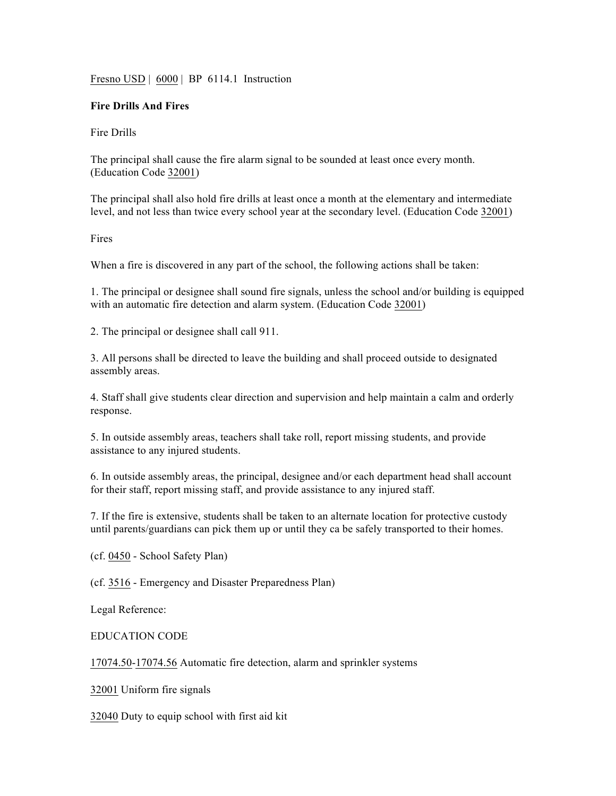Fresno USD | 6000 | BP 6114.1 Instruction

## **Fire Drills And Fires**

Fire Drills

The principal shall cause the fire alarm signal to be sounded at least once every month. (Education Code 32001)

The principal shall also hold fire drills at least once a month at the elementary and intermediate level, and not less than twice every school year at the secondary level. (Education Code 32001)

Fires

When a fire is discovered in any part of the school, the following actions shall be taken:

1. The principal or designee shall sound fire signals, unless the school and/or building is equipped with an automatic fire detection and alarm system. (Education Code 32001)

2. The principal or designee shall call 911.

3. All persons shall be directed to leave the building and shall proceed outside to designated assembly areas.

4. Staff shall give students clear direction and supervision and help maintain a calm and orderly response.

5. In outside assembly areas, teachers shall take roll, report missing students, and provide assistance to any injured students.

6. In outside assembly areas, the principal, designee and/or each department head shall account for their staff, report missing staff, and provide assistance to any injured staff.

7. If the fire is extensive, students shall be taken to an alternate location for protective custody until parents/guardians can pick them up or until they ca be safely transported to their homes.

(cf. 0450 - School Safety Plan)

(cf. 3516 - Emergency and Disaster Preparedness Plan)

Legal Reference:

EDUCATION CODE

17074.50-17074.56 Automatic fire detection, alarm and sprinkler systems

32001 Uniform fire signals

32040 Duty to equip school with first aid kit